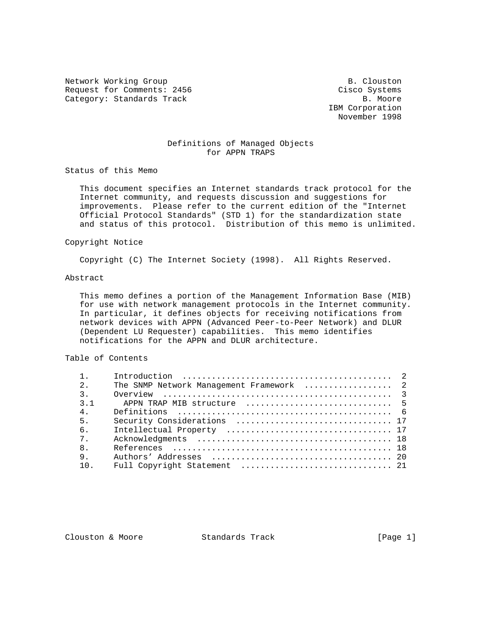Network Working Group and B. Clouston B. Clouston Request for Comments: 2456 Cisco Systems Category: Standards Track B. Moore

 IBM Corporation November 1998

# Definitions of Managed Objects for APPN TRAPS

Status of this Memo

 This document specifies an Internet standards track protocol for the Internet community, and requests discussion and suggestions for improvements. Please refer to the current edition of the "Internet Official Protocol Standards" (STD 1) for the standardization state and status of this protocol. Distribution of this memo is unlimited.

## Copyright Notice

Copyright (C) The Internet Society (1998). All Rights Reserved.

# Abstract

 This memo defines a portion of the Management Information Base (MIB) for use with network management protocols in the Internet community. In particular, it defines objects for receiving notifications from network devices with APPN (Advanced Peer-to-Peer Network) and DLUR (Dependent LU Requester) capabilities. This memo identifies notifications for the APPN and DLUR architecture.

## Table of Contents

| 2.               | The SNMP Network Management Framework  2 |  |
|------------------|------------------------------------------|--|
| $\overline{3}$ . |                                          |  |
| 3 <sub>1</sub>   |                                          |  |
| 4 <sub>1</sub>   |                                          |  |
| 5.               |                                          |  |
| 6 <sub>1</sub>   |                                          |  |
| $7^{\circ}$      |                                          |  |
| 8 <sub>1</sub>   |                                          |  |
| 9.               |                                          |  |
| $10^{-1}$        |                                          |  |

Clouston & Moore 6 (Page 1)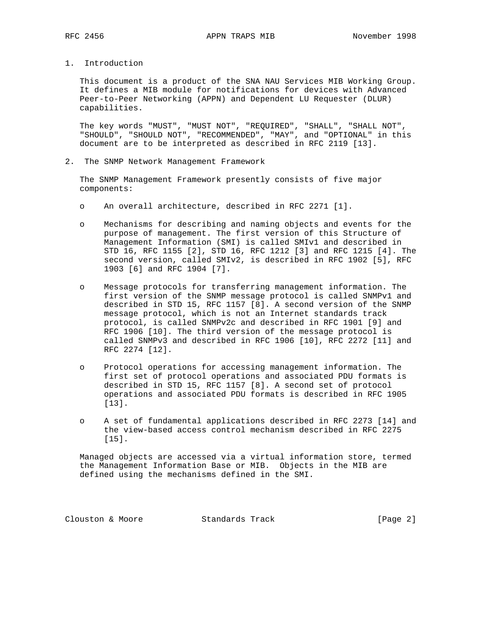1. Introduction

 This document is a product of the SNA NAU Services MIB Working Group. It defines a MIB module for notifications for devices with Advanced Peer-to-Peer Networking (APPN) and Dependent LU Requester (DLUR) capabilities.

 The key words "MUST", "MUST NOT", "REQUIRED", "SHALL", "SHALL NOT", "SHOULD", "SHOULD NOT", "RECOMMENDED", "MAY", and "OPTIONAL" in this document are to be interpreted as described in RFC 2119 [13].

2. The SNMP Network Management Framework

 The SNMP Management Framework presently consists of five major components:

- o An overall architecture, described in RFC 2271 [1].
- o Mechanisms for describing and naming objects and events for the purpose of management. The first version of this Structure of Management Information (SMI) is called SMIv1 and described in STD 16, RFC 1155 [2], STD 16, RFC 1212 [3] and RFC 1215 [4]. The second version, called SMIv2, is described in RFC 1902 [5], RFC 1903 [6] and RFC 1904 [7].
- o Message protocols for transferring management information. The first version of the SNMP message protocol is called SNMPv1 and described in STD 15, RFC 1157 [8]. A second version of the SNMP message protocol, which is not an Internet standards track protocol, is called SNMPv2c and described in RFC 1901 [9] and RFC 1906 [10]. The third version of the message protocol is called SNMPv3 and described in RFC 1906 [10], RFC 2272 [11] and RFC 2274 [12].
- o Protocol operations for accessing management information. The first set of protocol operations and associated PDU formats is described in STD 15, RFC 1157 [8]. A second set of protocol operations and associated PDU formats is described in RFC 1905 [13].
- o A set of fundamental applications described in RFC 2273 [14] and the view-based access control mechanism described in RFC 2275 [15].

 Managed objects are accessed via a virtual information store, termed the Management Information Base or MIB. Objects in the MIB are defined using the mechanisms defined in the SMI.

Clouston & Moore 6 Standards Track [Page 2]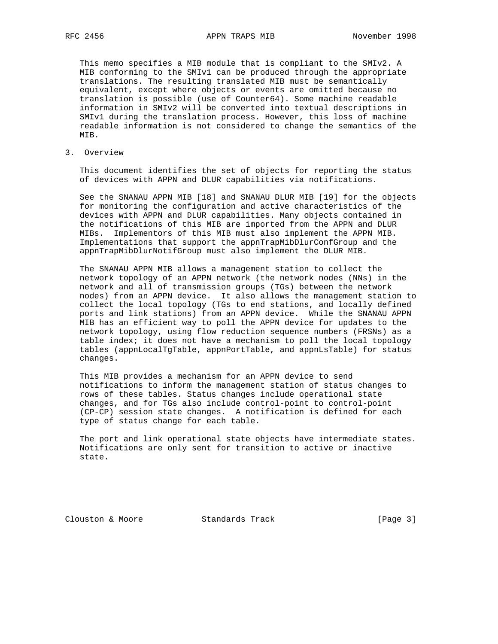This memo specifies a MIB module that is compliant to the SMIv2. A MIB conforming to the SMIv1 can be produced through the appropriate translations. The resulting translated MIB must be semantically equivalent, except where objects or events are omitted because no translation is possible (use of Counter64). Some machine readable information in SMIv2 will be converted into textual descriptions in SMIv1 during the translation process. However, this loss of machine readable information is not considered to change the semantics of the MIB.

3. Overview

 This document identifies the set of objects for reporting the status of devices with APPN and DLUR capabilities via notifications.

 See the SNANAU APPN MIB [18] and SNANAU DLUR MIB [19] for the objects for monitoring the configuration and active characteristics of the devices with APPN and DLUR capabilities. Many objects contained in the notifications of this MIB are imported from the APPN and DLUR MIBs. Implementors of this MIB must also implement the APPN MIB. Implementations that support the appnTrapMibDlurConfGroup and the appnTrapMibDlurNotifGroup must also implement the DLUR MIB.

 The SNANAU APPN MIB allows a management station to collect the network topology of an APPN network (the network nodes (NNs) in the network and all of transmission groups (TGs) between the network nodes) from an APPN device. It also allows the management station to collect the local topology (TGs to end stations, and locally defined ports and link stations) from an APPN device. While the SNANAU APPN MIB has an efficient way to poll the APPN device for updates to the network topology, using flow reduction sequence numbers (FRSNs) as a table index; it does not have a mechanism to poll the local topology tables (appnLocalTgTable, appnPortTable, and appnLsTable) for status changes.

 This MIB provides a mechanism for an APPN device to send notifications to inform the management station of status changes to rows of these tables. Status changes include operational state changes, and for TGs also include control-point to control-point (CP-CP) session state changes. A notification is defined for each type of status change for each table.

 The port and link operational state objects have intermediate states. Notifications are only sent for transition to active or inactive state.

Clouston & Moore 6 Standards Track [Page 3]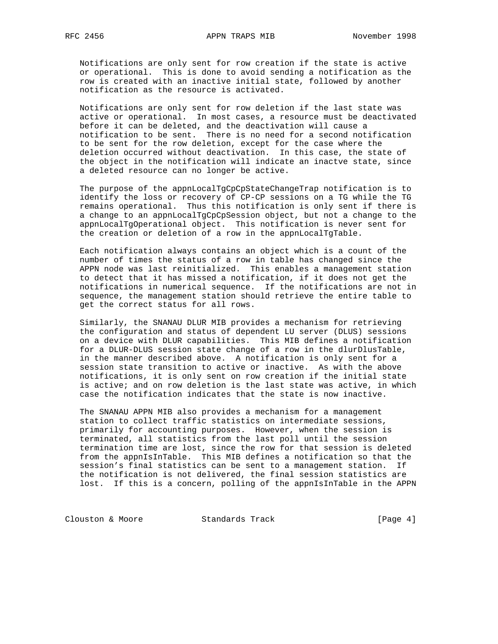Notifications are only sent for row creation if the state is active or operational. This is done to avoid sending a notification as the row is created with an inactive initial state, followed by another notification as the resource is activated.

 Notifications are only sent for row deletion if the last state was active or operational. In most cases, a resource must be deactivated before it can be deleted, and the deactivation will cause a notification to be sent. There is no need for a second notification to be sent for the row deletion, except for the case where the deletion occurred without deactivation. In this case, the state of the object in the notification will indicate an inactve state, since a deleted resource can no longer be active.

 The purpose of the appnLocalTgCpCpStateChangeTrap notification is to identify the loss or recovery of CP-CP sessions on a TG while the TG remains operational. Thus this notification is only sent if there is a change to an appnLocalTgCpCpSession object, but not a change to the appnLocalTgOperational object. This notification is never sent for the creation or deletion of a row in the appnLocalTgTable.

 Each notification always contains an object which is a count of the number of times the status of a row in table has changed since the APPN node was last reinitialized. This enables a management station to detect that it has missed a notification, if it does not get the notifications in numerical sequence. If the notifications are not in sequence, the management station should retrieve the entire table to get the correct status for all rows.

 Similarly, the SNANAU DLUR MIB provides a mechanism for retrieving the configuration and status of dependent LU server (DLUS) sessions on a device with DLUR capabilities. This MIB defines a notification for a DLUR-DLUS session state change of a row in the dlurDlusTable, in the manner described above. A notification is only sent for a session state transition to active or inactive. As with the above notifications, it is only sent on row creation if the initial state is active; and on row deletion is the last state was active, in which case the notification indicates that the state is now inactive.

 The SNANAU APPN MIB also provides a mechanism for a management station to collect traffic statistics on intermediate sessions, primarily for accounting purposes. However, when the session is terminated, all statistics from the last poll until the session termination time are lost, since the row for that session is deleted from the appnIsInTable. This MIB defines a notification so that the session's final statistics can be sent to a management station. If the notification is not delivered, the final session statistics are lost. If this is a concern, polling of the appnIsInTable in the APPN

Clouston & Moore Standards Track [Page 4]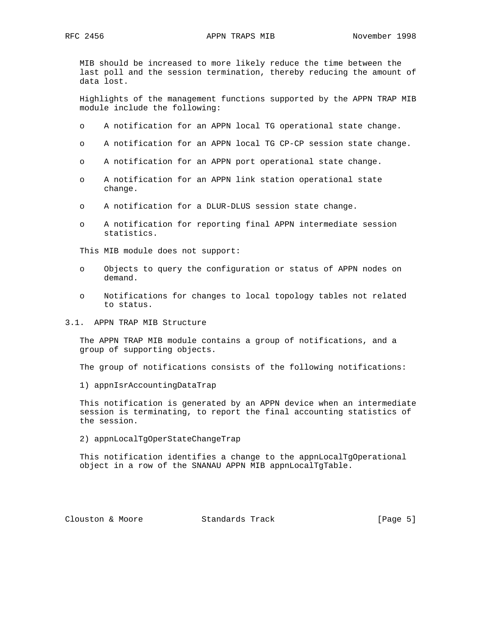MIB should be increased to more likely reduce the time between the last poll and the session termination, thereby reducing the amount of data lost.

 Highlights of the management functions supported by the APPN TRAP MIB module include the following:

- o A notification for an APPN local TG operational state change.
- o A notification for an APPN local TG CP-CP session state change.
- o A notification for an APPN port operational state change.
- o A notification for an APPN link station operational state change.
- o A notification for a DLUR-DLUS session state change.
- o A notification for reporting final APPN intermediate session statistics.

This MIB module does not support:

- o Objects to query the configuration or status of APPN nodes on demand.
- o Notifications for changes to local topology tables not related to status.
- 3.1. APPN TRAP MIB Structure

 The APPN TRAP MIB module contains a group of notifications, and a group of supporting objects.

The group of notifications consists of the following notifications:

1) appnIsrAccountingDataTrap

 This notification is generated by an APPN device when an intermediate session is terminating, to report the final accounting statistics of the session.

2) appnLocalTgOperStateChangeTrap

 This notification identifies a change to the appnLocalTgOperational object in a row of the SNANAU APPN MIB appnLocalTgTable.

Clouston & Moore 6 Standards Track [Page 5]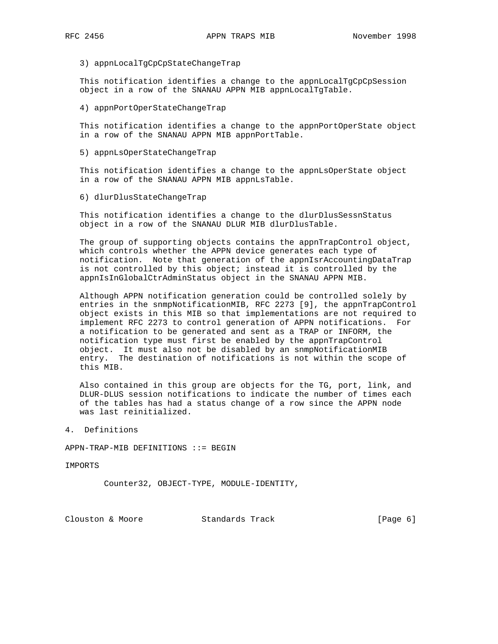3) appnLocalTgCpCpStateChangeTrap

 This notification identifies a change to the appnLocalTgCpCpSession object in a row of the SNANAU APPN MIB appnLocalTgTable.

4) appnPortOperStateChangeTrap

 This notification identifies a change to the appnPortOperState object in a row of the SNANAU APPN MIB appnPortTable.

5) appnLsOperStateChangeTrap

 This notification identifies a change to the appnLsOperState object in a row of the SNANAU APPN MIB appnLsTable.

6) dlurDlusStateChangeTrap

This notification identifies a change to the dlurDlusSessnStatus object in a row of the SNANAU DLUR MIB dlurDlusTable.

 The group of supporting objects contains the appnTrapControl object, which controls whether the APPN device generates each type of notification. Note that generation of the appnIsrAccountingDataTrap is not controlled by this object; instead it is controlled by the appnIsInGlobalCtrAdminStatus object in the SNANAU APPN MIB.

 Although APPN notification generation could be controlled solely by entries in the snmpNotificationMIB, RFC 2273 [9], the appnTrapControl object exists in this MIB so that implementations are not required to implement RFC 2273 to control generation of APPN notifications. For a notification to be generated and sent as a TRAP or INFORM, the notification type must first be enabled by the appnTrapControl object. It must also not be disabled by an snmpNotificationMIB entry. The destination of notifications is not within the scope of this MIB.

 Also contained in this group are objects for the TG, port, link, and DLUR-DLUS session notifications to indicate the number of times each of the tables has had a status change of a row since the APPN node was last reinitialized.

4. Definitions

APPN-TRAP-MIB DEFINITIONS ::= BEGIN

IMPORTS

Counter32, OBJECT-TYPE, MODULE-IDENTITY,

Clouston & Moore 6 (Page 6)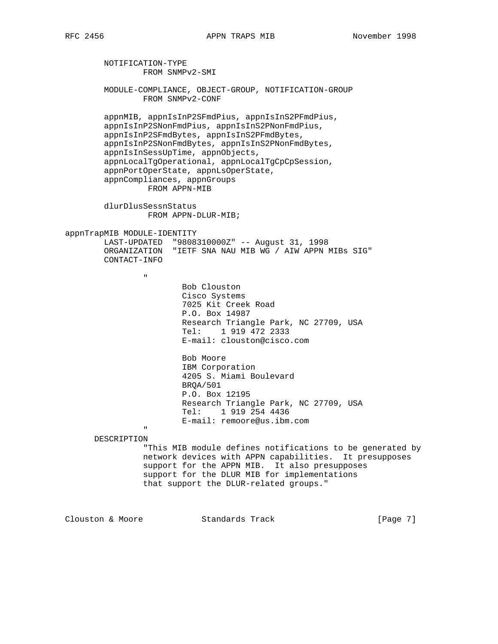NOTIFICATION-TYPE FROM SNMPv2-SMI MODULE-COMPLIANCE, OBJECT-GROUP, NOTIFICATION-GROUP FROM SNMPv2-CONF appnMIB, appnIsInP2SFmdPius, appnIsInS2PFmdPius, appnIsInP2SNonFmdPius, appnIsInS2PNonFmdPius, appnIsInP2SFmdBytes, appnIsInS2PFmdBytes, appnIsInP2SNonFmdBytes, appnIsInS2PNonFmdBytes, appnIsInSessUpTime, appnObjects, appnLocalTgOperational, appnLocalTgCpCpSession, appnPortOperState, appnLsOperState, appnCompliances, appnGroups FROM APPN-MIB dlurDlusSessnStatus FROM APPN-DLUR-MIB; appnTrapMIB MODULE-IDENTITY LAST-UPDATED "9808310000Z" -- August 31, 1998 ORGANIZATION "IETF SNA NAU MIB WG / AIW APPN MIBs SIG" CONTACT-INFO " "The contract of the contract of the contract of the contract of the contract of the contract of the contract of the contract of the contract of the contract of the contract of the contract of the contract of the contrac Bob Clouston Cisco Systems 7025 Kit Creek Road P.O. Box 14987 Research Triangle Park, NC 27709, USA Tel: 1 919 472 2333 E-mail: clouston@cisco.com Bob Moore IBM Corporation 4205 S. Miami Boulevard BRQA/501 P.O. Box 12195 Research Triangle Park, NC 27709, USA Tel: 1 919 254 4436 E-mail: remoore@us.ibm.com " DESCRIPTION "This MIB module defines notifications to be generated by network devices with APPN capabilities. It presupposes support for the APPN MIB. It also presupposes support for the DLUR MIB for implementations that support the DLUR-related groups." Clouston & Moore 6 (Page 7)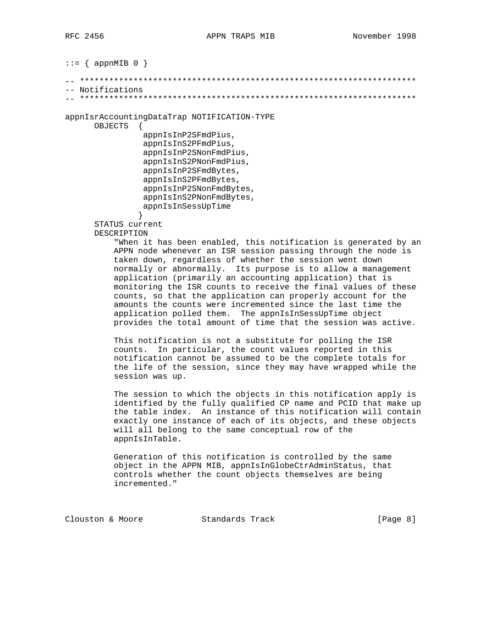$::=$  { appnMIB 0 }

```
-- *********************************************************************
-- Notifications
```
-- \*\*\*\*\*\*\*\*\*\*\*\*\*\*\*\*\*\*\*\*\*\*\*\*\*\*\*\*\*\*\*\*\*\*\*\*\*\*\*\*\*\*\*\*\*\*\*\*\*\*\*\*\*\*\*\*\*\*\*\*\*\*\*\*\*\*\*\*\*

appnIsrAccountingDataTrap NOTIFICATION-TYPE

OBJECTS {

```
 appnIsInP2SFmdPius,
 appnIsInS2PFmdPius,
 appnIsInP2SNonFmdPius,
 appnIsInS2PNonFmdPius,
 appnIsInP2SFmdBytes,
 appnIsInS2PFmdBytes,
 appnIsInP2SNonFmdBytes,
 appnIsInS2PNonFmdBytes,
 appnIsInSessUpTime
```
 } STATUS current DESCRIPTION

> "When it has been enabled, this notification is generated by an APPN node whenever an ISR session passing through the node is taken down, regardless of whether the session went down normally or abnormally. Its purpose is to allow a management application (primarily an accounting application) that is monitoring the ISR counts to receive the final values of these counts, so that the application can properly account for the amounts the counts were incremented since the last time the application polled them. The appnIsInSessUpTime object provides the total amount of time that the session was active.

 This notification is not a substitute for polling the ISR counts. In particular, the count values reported in this notification cannot be assumed to be the complete totals for the life of the session, since they may have wrapped while the session was up.

 The session to which the objects in this notification apply is identified by the fully qualified CP name and PCID that make up the table index. An instance of this notification will contain exactly one instance of each of its objects, and these objects will all belong to the same conceptual row of the appnIsInTable.

 Generation of this notification is controlled by the same object in the APPN MIB, appnIsInGlobeCtrAdminStatus, that controls whether the count objects themselves are being incremented."

Clouston & Moore 6 (Page 8)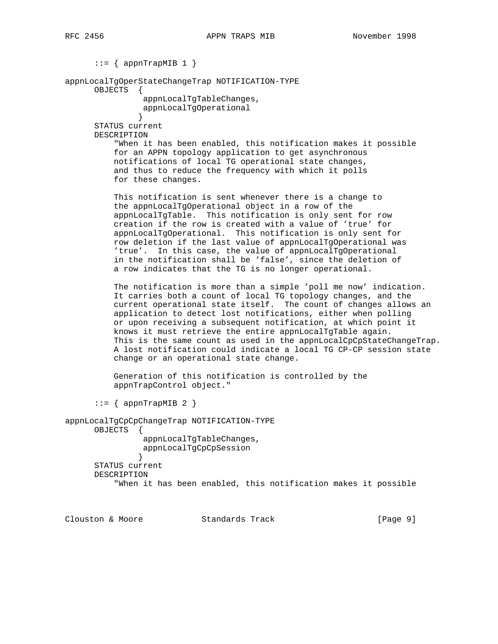$::=$  { appnTrapMIB 1 }

appnLocalTgOperStateChangeTrap NOTIFICATION-TYPE

OBJECTS {

 appnLocalTgTableChanges, appnLocalTgOperational

 } STATUS current DESCRIPTION

> "When it has been enabled, this notification makes it possible for an APPN topology application to get asynchronous notifications of local TG operational state changes, and thus to reduce the frequency with which it polls for these changes.

 This notification is sent whenever there is a change to the appnLocalTgOperational object in a row of the appnLocalTgTable. This notification is only sent for row creation if the row is created with a value of 'true' for appnLocalTgOperational. This notification is only sent for row deletion if the last value of appnLocalTgOperational was 'true'. In this case, the value of appnLocalTgOperational in the notification shall be 'false', since the deletion of a row indicates that the TG is no longer operational.

 The notification is more than a simple 'poll me now' indication. It carries both a count of local TG topology changes, and the current operational state itself. The count of changes allows an application to detect lost notifications, either when polling or upon receiving a subsequent notification, at which point it knows it must retrieve the entire appnLocalTgTable again. This is the same count as used in the appnLocalCpCpStateChangeTrap. A lost notification could indicate a local TG CP-CP session state change or an operational state change.

 Generation of this notification is controlled by the appnTrapControl object."

 $::=$  { appnTrapMIB 2 }

appnLocalTgCpCpChangeTrap NOTIFICATION-TYPE

OBJECTS {

 appnLocalTgTableChanges, appnLocalTgCpCpSession

 } STATUS current DESCRIPTION "When it has been enabled, this notification makes it possible

Clouston & Moore 6 (Page 9)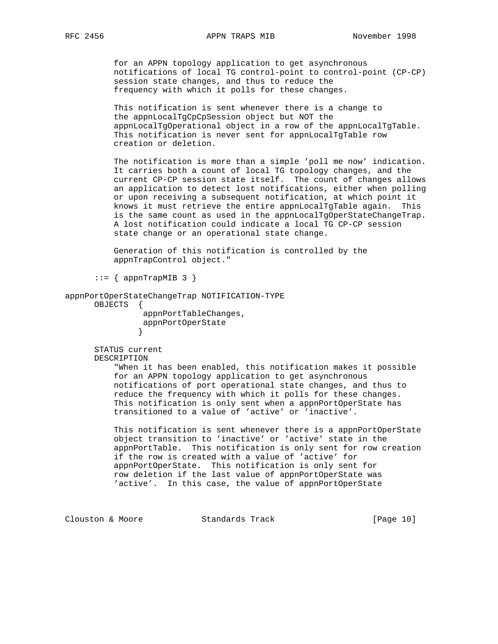for an APPN topology application to get asynchronous notifications of local TG control-point to control-point (CP-CP) session state changes, and thus to reduce the frequency with which it polls for these changes.

 This notification is sent whenever there is a change to the appnLocalTgCpCpSession object but NOT the appnLocalTgOperational object in a row of the appnLocalTgTable. This notification is never sent for appnLocalTgTable row creation or deletion.

 The notification is more than a simple 'poll me now' indication. It carries both a count of local TG topology changes, and the current CP-CP session state itself. The count of changes allows an application to detect lost notifications, either when polling or upon receiving a subsequent notification, at which point it knows it must retrieve the entire appnLocalTgTable again. This is the same count as used in the appnLocalTgOperStateChangeTrap. A lost notification could indicate a local TG CP-CP session state change or an operational state change.

 Generation of this notification is controlled by the appnTrapControl object."

 $::=$  { appnTrapMIB 3 }

#### appnPortOperStateChangeTrap NOTIFICATION-TYPE

OBJECTS {

}

 appnPortTableChanges, appnPortOperState

 STATUS current DESCRIPTION

> "When it has been enabled, this notification makes it possible for an APPN topology application to get asynchronous notifications of port operational state changes, and thus to reduce the frequency with which it polls for these changes. This notification is only sent when a appnPortOperState has transitioned to a value of 'active' or 'inactive'.

This notification is sent whenever there is a appnPortOperState object transition to 'inactive' or 'active' state in the appnPortTable. This notification is only sent for row creation if the row is created with a value of 'active' for appnPortOperState. This notification is only sent for row deletion if the last value of appnPortOperState was 'active'. In this case, the value of appnPortOperState

Clouston & Moore Standards Track [Page 10]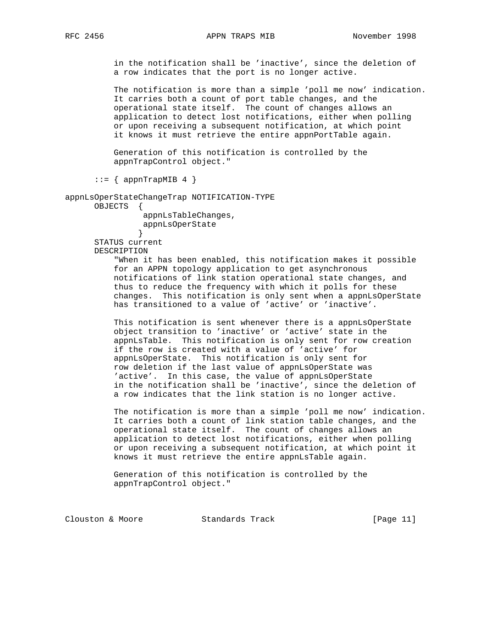in the notification shall be 'inactive', since the deletion of a row indicates that the port is no longer active.

 The notification is more than a simple 'poll me now' indication. It carries both a count of port table changes, and the operational state itself. The count of changes allows an application to detect lost notifications, either when polling or upon receiving a subsequent notification, at which point it knows it must retrieve the entire appnPortTable again.

 Generation of this notification is controlled by the appnTrapControl object."

 $::=$  { appnTrapMIB 4 }

appnLsOperStateChangeTrap NOTIFICATION-TYPE

OBJECTS {

 appnLsTableChanges, appnLsOperState

 } STATUS current DESCRIPTION

> "When it has been enabled, this notification makes it possible for an APPN topology application to get asynchronous notifications of link station operational state changes, and thus to reduce the frequency with which it polls for these changes. This notification is only sent when a appnLsOperState has transitioned to a value of 'active' or 'inactive'.

This notification is sent whenever there is a appnLsOperState object transition to 'inactive' or 'active' state in the appnLsTable. This notification is only sent for row creation if the row is created with a value of 'active' for appnLsOperState. This notification is only sent for row deletion if the last value of appnLsOperState was 'active'. In this case, the value of appnLsOperState in the notification shall be 'inactive', since the deletion of a row indicates that the link station is no longer active.

 The notification is more than a simple 'poll me now' indication. It carries both a count of link station table changes, and the operational state itself. The count of changes allows an application to detect lost notifications, either when polling or upon receiving a subsequent notification, at which point it knows it must retrieve the entire appnLsTable again.

 Generation of this notification is controlled by the appnTrapControl object."

Clouston & Moore Standards Track [Page 11]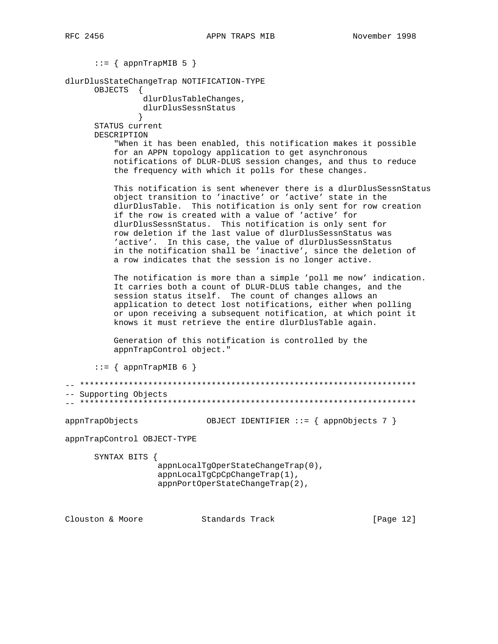$::=$  { appnTrapMIB 5 }

dlurDlusStateChangeTrap NOTIFICATION-TYPE

OBJECTS {

 dlurDlusTableChanges, dlurDlusSessnStatus

 } STATUS current DESCRIPTION

> "When it has been enabled, this notification makes it possible for an APPN topology application to get asynchronous notifications of DLUR-DLUS session changes, and thus to reduce the frequency with which it polls for these changes.

This notification is sent whenever there is a dlurDlusSessnStatus object transition to 'inactive' or 'active' state in the dlurDlusTable. This notification is only sent for row creation if the row is created with a value of 'active' for dlurDlusSessnStatus. This notification is only sent for row deletion if the last value of dlurDlusSessnStatus was 'active'. In this case, the value of dlurDlusSessnStatus in the notification shall be 'inactive', since the deletion of a row indicates that the session is no longer active.

 The notification is more than a simple 'poll me now' indication. It carries both a count of DLUR-DLUS table changes, and the session status itself. The count of changes allows an application to detect lost notifications, either when polling or upon receiving a subsequent notification, at which point it knows it must retrieve the entire dlurDlusTable again.

 Generation of this notification is controlled by the appnTrapControl object."

```
::= { appnTrapMIB 6 }
```
-- \*\*\*\*\*\*\*\*\*\*\*\*\*\*\*\*\*\*\*\*\*\*\*\*\*\*\*\*\*\*\*\*\*\*\*\*\*\*\*\*\*\*\*\*\*\*\*\*\*\*\*\*\*\*\*\*\*\*\*\*\*\*\*\*\*\*\*\*\* -- Supporting Objects -- \*\*\*\*\*\*\*\*\*\*\*\*\*\*\*\*\*\*\*\*\*\*\*\*\*\*\*\*\*\*\*\*\*\*\*\*\*\*\*\*\*\*\*\*\*\*\*\*\*\*\*\*\*\*\*\*\*\*\*\*\*\*\*\*\*\*\*\*\*

appnTrapObjects OBJECT IDENTIFIER ::= { appnObjects 7 }

appnTrapControl OBJECT-TYPE

SYNTAX BITS {

 appnLocalTgOperStateChangeTrap(0), appnLocalTgCpCpChangeTrap(1), appnPortOperStateChangeTrap(2),

Clouston & Moore Standards Track [Page 12]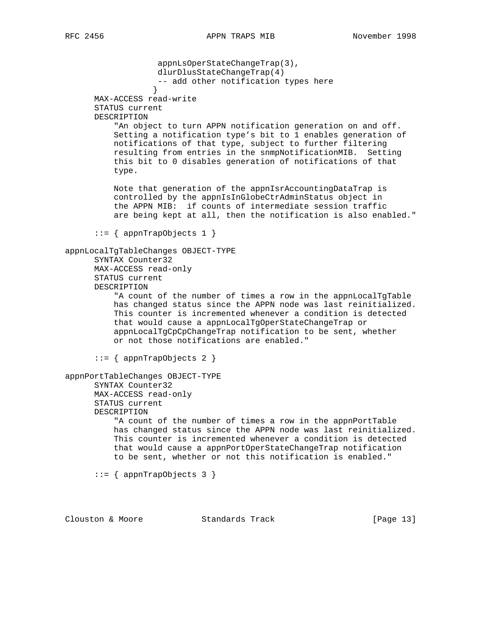appnLsOperStateChangeTrap(3), dlurDlusStateChangeTrap(4) -- add other notification types here } MAX-ACCESS read-write STATUS current DESCRIPTION "An object to turn APPN notification generation on and off. Setting a notification type's bit to 1 enables generation of notifications of that type, subject to further filtering resulting from entries in the snmpNotificationMIB. Setting this bit to 0 disables generation of notifications of that type. Note that generation of the appnIsrAccountingDataTrap is controlled by the appnIsInGlobeCtrAdminStatus object in the APPN MIB: if counts of intermediate session traffic are being kept at all, then the notification is also enabled."  $::=$  { appnTrapObjects 1 } appnLocalTgTableChanges OBJECT-TYPE SYNTAX Counter32 MAX-ACCESS read-only STATUS current DESCRIPTION "A count of the number of times a row in the appnLocalTgTable has changed status since the APPN node was last reinitialized. This counter is incremented whenever a condition is detected that would cause a appnLocalTgOperStateChangeTrap or appnLocalTgCpCpChangeTrap notification to be sent, whether or not those notifications are enabled." ::= { appnTrapObjects 2 } appnPortTableChanges OBJECT-TYPE SYNTAX Counter32 MAX-ACCESS read-only STATUS current DESCRIPTION "A count of the number of times a row in the appnPortTable has changed status since the APPN node was last reinitialized. This counter is incremented whenever a condition is detected that would cause a appnPortOperStateChangeTrap notification to be sent, whether or not this notification is enabled."  $::=$  { appnTrapObjects 3 } Clouston & Moore 6 Standards Track [Page 13]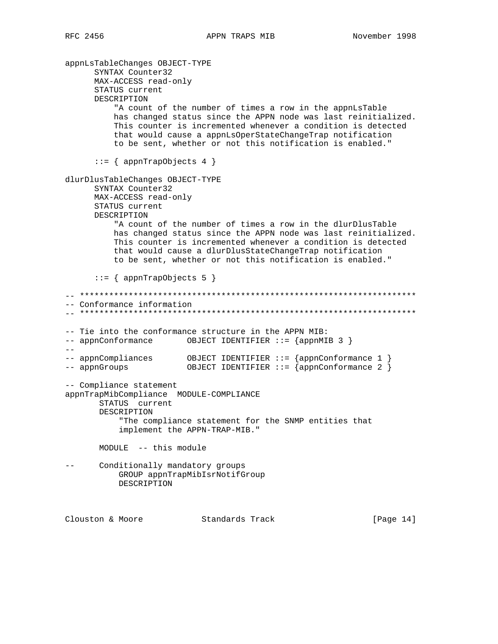appnLsTableChanges OBJECT-TYPE SYNTAX Counter32 MAX-ACCESS read-only STATUS current DESCRIPTION "A count of the number of times a row in the appnLsTable has changed status since the APPN node was last reinitialized. This counter is incremented whenever a condition is detected that would cause a appnLsOperStateChangeTrap notification to be sent, whether or not this notification is enabled."  $::=$  { appnTrapObjects 4 } dlurDlusTableChanges OBJECT-TYPE SYNTAX Counter32 MAX-ACCESS read-only STATUS current DESCRIPTION "A count of the number of times a row in the dlurDlusTable has changed status since the APPN node was last reinitialized. This counter is incremented whenever a condition is detected that would cause a dlurDlusStateChangeTrap notification to be sent, whether or not this notification is enabled." ::= { appnTrapObjects 5 } -- \*\*\*\*\*\*\*\*\*\*\*\*\*\*\*\*\*\*\*\*\*\*\*\*\*\*\*\*\*\*\*\*\*\*\*\*\*\*\*\*\*\*\*\*\*\*\*\*\*\*\*\*\*\*\*\*\*\*\*\*\*\*\*\*\*\*\*\*\* -- Conformance information -- \*\*\*\*\*\*\*\*\*\*\*\*\*\*\*\*\*\*\*\*\*\*\*\*\*\*\*\*\*\*\*\*\*\*\*\*\*\*\*\*\*\*\*\*\*\*\*\*\*\*\*\*\*\*\*\*\*\*\*\*\*\*\*\*\*\*\*\*\* -- Tie into the conformance structure in the APPN MIB: -- appnConformance OBJECT IDENTIFIER ::= {appnMIB 3 }  $-\frac{1}{2}$ -- appnCompliances OBJECT IDENTIFIER ::= {appnConformance 1 } -- appnGroups OBJECT IDENTIFIER ::= {appnConformance 2 } -- Compliance statement appnTrapMibCompliance MODULE-COMPLIANCE STATUS current DESCRIPTION "The compliance statement for the SNMP entities that implement the APPN-TRAP-MIB." MODULE -- this module -- Conditionally mandatory groups GROUP appnTrapMibIsrNotifGroup DESCRIPTION Clouston & Moore 6 Standards Track [Page 14]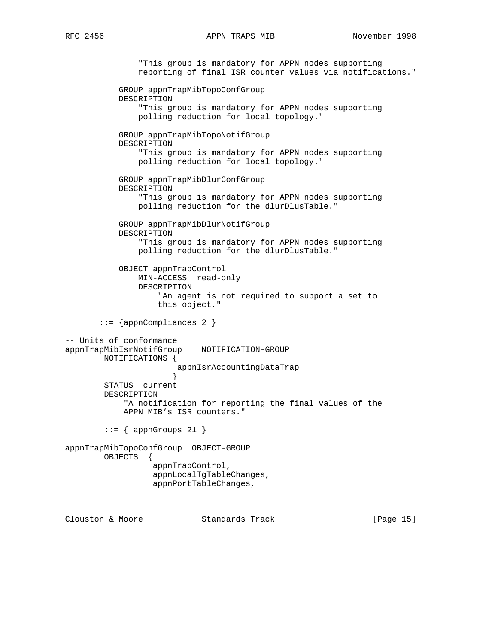## RFC 2456 APPN TRAPS MIB November 1998

 "This group is mandatory for APPN nodes supporting reporting of final ISR counter values via notifications." GROUP appnTrapMibTopoConfGroup DESCRIPTION "This group is mandatory for APPN nodes supporting polling reduction for local topology." GROUP appnTrapMibTopoNotifGroup DESCRIPTION "This group is mandatory for APPN nodes supporting polling reduction for local topology." GROUP appnTrapMibDlurConfGroup DESCRIPTION "This group is mandatory for APPN nodes supporting polling reduction for the dlurDlusTable." GROUP appnTrapMibDlurNotifGroup DESCRIPTION "This group is mandatory for APPN nodes supporting polling reduction for the dlurDlusTable." OBJECT appnTrapControl MIN-ACCESS read-only DESCRIPTION "An agent is not required to support a set to this object." ::= {appnCompliances 2 } -- Units of conformance appnTrapMibIsrNotifGroup NOTIFICATION-GROUP NOTIFICATIONS { appnIsrAccountingDataTrap<br>} } STATUS current DESCRIPTION "A notification for reporting the final values of the APPN MIB's ISR counters."  $::=$  { appnGroups 21 } appnTrapMibTopoConfGroup OBJECT-GROUP OBJECTS { appnTrapControl, appnLocalTgTableChanges, appnPortTableChanges,

Clouston & Moore 6 Standards Track [Page 15]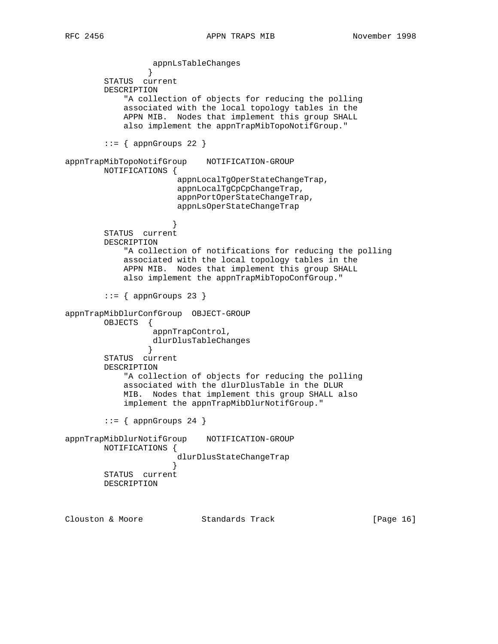appnLsTableChanges } STATUS current DESCRIPTION "A collection of objects for reducing the polling associated with the local topology tables in the APPN MIB. Nodes that implement this group SHALL also implement the appnTrapMibTopoNotifGroup."  $::=$  { appnGroups 22 } appnTrapMibTopoNotifGroup NOTIFICATION-GROUP NOTIFICATIONS { appnLocalTgOperStateChangeTrap, appnLocalTgCpCpChangeTrap, appnPortOperStateChangeTrap, appnLsOperStateChangeTrap } STATUS current DESCRIPTION "A collection of notifications for reducing the polling associated with the local topology tables in the APPN MIB. Nodes that implement this group SHALL also implement the appnTrapMibTopoConfGroup."  $::=$  { appnGroups 23 } appnTrapMibDlurConfGroup OBJECT-GROUP OBJECTS { appnTrapControl, dlurDlusTableChanges } STATUS current DESCRIPTION "A collection of objects for reducing the polling associated with the dlurDlusTable in the DLUR MIB. Nodes that implement this group SHALL also implement the appnTrapMibDlurNotifGroup."  $::=$  { appnGroups 24 } appnTrapMibDlurNotifGroup NOTIFICATION-GROUP NOTIFICATIONS { dlurDlusStateChangeTrap } STATUS current DESCRIPTION

Clouston & Moore 6 Standards Track [Page 16]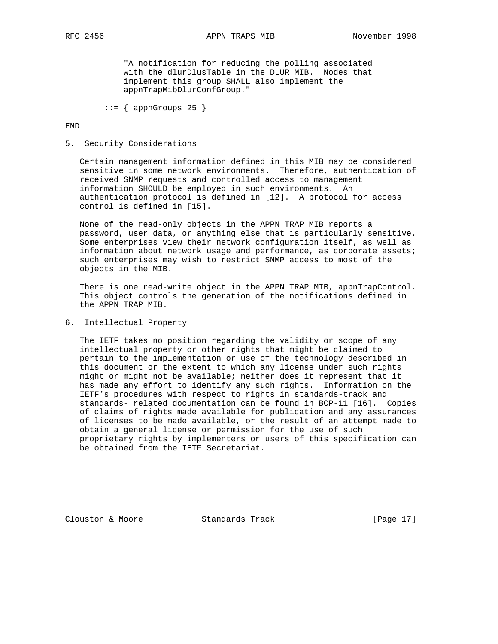"A notification for reducing the polling associated with the dlurDlusTable in the DLUR MIB. Nodes that implement this group SHALL also implement the appnTrapMibDlurConfGroup."

 $::=$  { appnGroups 25 }

END

# 5. Security Considerations

 Certain management information defined in this MIB may be considered sensitive in some network environments. Therefore, authentication of received SNMP requests and controlled access to management information SHOULD be employed in such environments. An authentication protocol is defined in [12]. A protocol for access control is defined in [15].

 None of the read-only objects in the APPN TRAP MIB reports a password, user data, or anything else that is particularly sensitive. Some enterprises view their network configuration itself, as well as information about network usage and performance, as corporate assets; such enterprises may wish to restrict SNMP access to most of the objects in the MIB.

There is one read-write object in the APPN TRAP MIB, appnTrapControl. This object controls the generation of the notifications defined in the APPN TRAP MIB.

6. Intellectual Property

 The IETF takes no position regarding the validity or scope of any intellectual property or other rights that might be claimed to pertain to the implementation or use of the technology described in this document or the extent to which any license under such rights might or might not be available; neither does it represent that it has made any effort to identify any such rights. Information on the IETF's procedures with respect to rights in standards-track and standards- related documentation can be found in BCP-11 [16]. Copies of claims of rights made available for publication and any assurances of licenses to be made available, or the result of an attempt made to obtain a general license or permission for the use of such proprietary rights by implementers or users of this specification can be obtained from the IETF Secretariat.

Clouston & Moore Standards Track [Page 17]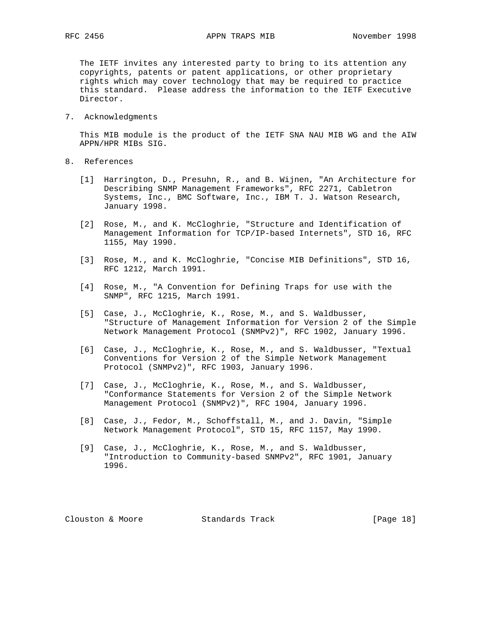The IETF invites any interested party to bring to its attention any copyrights, patents or patent applications, or other proprietary rights which may cover technology that may be required to practice this standard. Please address the information to the IETF Executive Director.

7. Acknowledgments

 This MIB module is the product of the IETF SNA NAU MIB WG and the AIW APPN/HPR MIBs SIG.

- 8. References
	- [1] Harrington, D., Presuhn, R., and B. Wijnen, "An Architecture for Describing SNMP Management Frameworks", RFC 2271, Cabletron Systems, Inc., BMC Software, Inc., IBM T. J. Watson Research, January 1998.
	- [2] Rose, M., and K. McCloghrie, "Structure and Identification of Management Information for TCP/IP-based Internets", STD 16, RFC 1155, May 1990.
	- [3] Rose, M., and K. McCloghrie, "Concise MIB Definitions", STD 16, RFC 1212, March 1991.
	- [4] Rose, M., "A Convention for Defining Traps for use with the SNMP", RFC 1215, March 1991.
	- [5] Case, J., McCloghrie, K., Rose, M., and S. Waldbusser, "Structure of Management Information for Version 2 of the Simple Network Management Protocol (SNMPv2)", RFC 1902, January 1996.
	- [6] Case, J., McCloghrie, K., Rose, M., and S. Waldbusser, "Textual Conventions for Version 2 of the Simple Network Management Protocol (SNMPv2)", RFC 1903, January 1996.
	- [7] Case, J., McCloghrie, K., Rose, M., and S. Waldbusser, "Conformance Statements for Version 2 of the Simple Network Management Protocol (SNMPv2)", RFC 1904, January 1996.
	- [8] Case, J., Fedor, M., Schoffstall, M., and J. Davin, "Simple Network Management Protocol", STD 15, RFC 1157, May 1990.
	- [9] Case, J., McCloghrie, K., Rose, M., and S. Waldbusser, "Introduction to Community-based SNMPv2", RFC 1901, January 1996.

Clouston & Moore Standards Track [Page 18]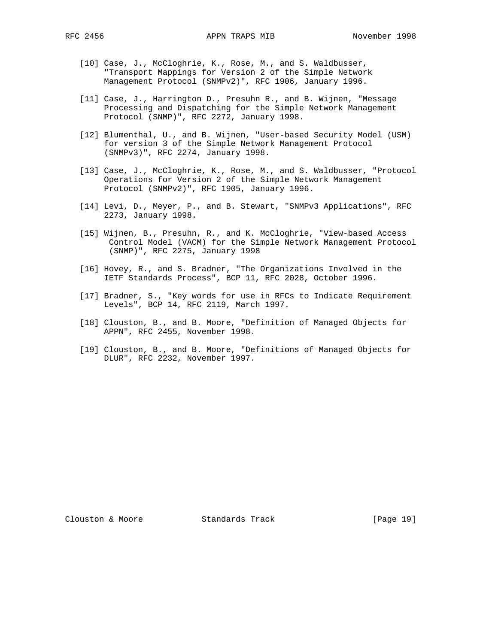- [10] Case, J., McCloghrie, K., Rose, M., and S. Waldbusser, "Transport Mappings for Version 2 of the Simple Network Management Protocol (SNMPv2)", RFC 1906, January 1996.
- [11] Case, J., Harrington D., Presuhn R., and B. Wijnen, "Message Processing and Dispatching for the Simple Network Management Protocol (SNMP)", RFC 2272, January 1998.
- [12] Blumenthal, U., and B. Wijnen, "User-based Security Model (USM) for version 3 of the Simple Network Management Protocol (SNMPv3)", RFC 2274, January 1998.
- [13] Case, J., McCloghrie, K., Rose, M., and S. Waldbusser, "Protocol Operations for Version 2 of the Simple Network Management Protocol (SNMPv2)", RFC 1905, January 1996.
- [14] Levi, D., Meyer, P., and B. Stewart, "SNMPv3 Applications", RFC 2273, January 1998.
- [15] Wijnen, B., Presuhn, R., and K. McCloghrie, "View-based Access Control Model (VACM) for the Simple Network Management Protocol (SNMP)", RFC 2275, January 1998
- [16] Hovey, R., and S. Bradner, "The Organizations Involved in the IETF Standards Process", BCP 11, RFC 2028, October 1996.
- [17] Bradner, S., "Key words for use in RFCs to Indicate Requirement Levels", BCP 14, RFC 2119, March 1997.
- [18] Clouston, B., and B. Moore, "Definition of Managed Objects for APPN", RFC 2455, November 1998.
- [19] Clouston, B., and B. Moore, "Definitions of Managed Objects for DLUR", RFC 2232, November 1997.

Clouston & Moore Standards Track [Page 19]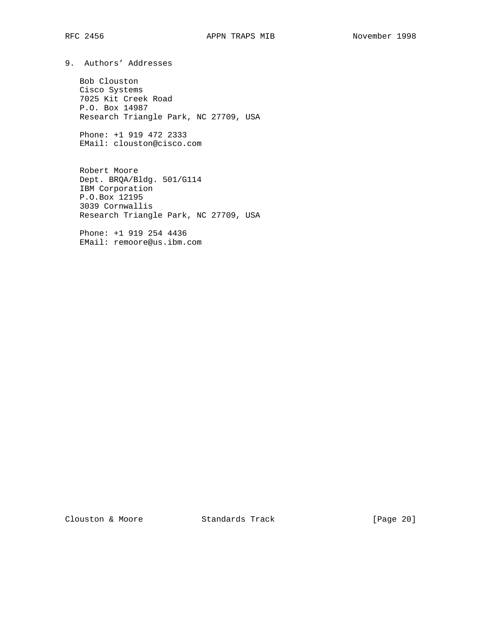9. Authors' Addresses

 Bob Clouston Cisco Systems 7025 Kit Creek Road P.O. Box 14987 Research Triangle Park, NC 27709, USA

 Phone: +1 919 472 2333 EMail: clouston@cisco.com

 Robert Moore Dept. BRQA/Bldg. 501/G114 IBM Corporation P.O.Box 12195 3039 Cornwallis Research Triangle Park, NC 27709, USA

 Phone: +1 919 254 4436 EMail: remoore@us.ibm.com